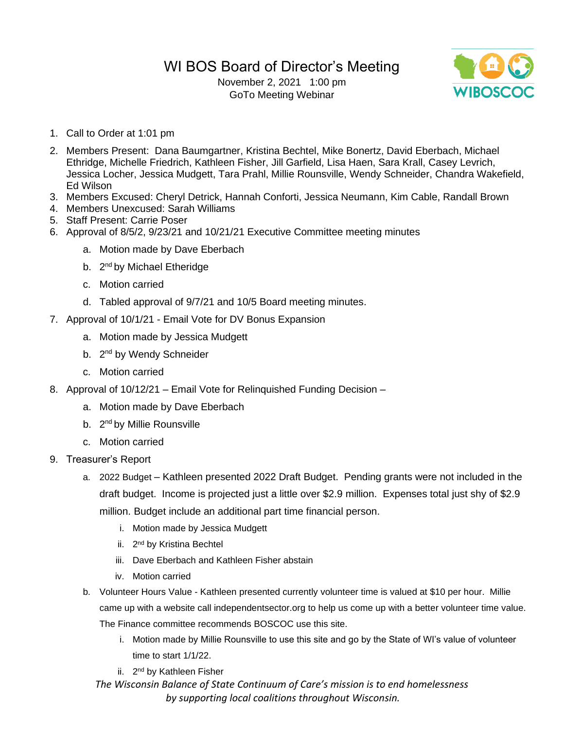## WI BOS Board of Director's Meeting

November 2, 2021 1:00 pm GoTo Meeting Webinar



- 1. Call to Order at 1:01 pm
- 2. Members Present: Dana Baumgartner, Kristina Bechtel, Mike Bonertz, David Eberbach, Michael Ethridge, Michelle Friedrich, Kathleen Fisher, Jill Garfield, Lisa Haen, Sara Krall, Casey Levrich, Jessica Locher, Jessica Mudgett, Tara Prahl, Millie Rounsville, Wendy Schneider, Chandra Wakefield, Ed Wilson
- 3. Members Excused: Cheryl Detrick, Hannah Conforti, Jessica Neumann, Kim Cable, Randall Brown
- 4. Members Unexcused: Sarah Williams
- 5. Staff Present: Carrie Poser
- 6. Approval of 8/5/2, 9/23/21 and 10/21/21 Executive Committee meeting minutes
	- a. Motion made by Dave Eberbach
	- b. 2<sup>nd</sup> by Michael Etheridge
	- c. Motion carried
	- d. Tabled approval of 9/7/21 and 10/5 Board meeting minutes.
- 7. Approval of 10/1/21 Email Vote for DV Bonus Expansion
	- a. Motion made by Jessica Mudgett
	- b. 2<sup>nd</sup> by Wendy Schneider
	- c. Motion carried
- 8. Approval of 10/12/21 Email Vote for Relinquished Funding Decision
	- a. Motion made by Dave Eberbach
	- b. 2<sup>nd</sup> by Millie Rounsville
	- c. Motion carried
- 9. Treasurer's Report
	- a. 2022 Budget Kathleen presented 2022 Draft Budget. Pending grants were not included in the draft budget. Income is projected just a little over \$2.9 million. Expenses total just shy of \$2.9 million. Budget include an additional part time financial person.
		- i. Motion made by Jessica Mudgett
		- ii. 2<sup>nd</sup> by Kristina Bechtel
		- iii. Dave Eberbach and Kathleen Fisher abstain
		- iv. Motion carried
	- b. Volunteer Hours Value Kathleen presented currently volunteer time is valued at \$10 per hour. Millie came up with a website call independentsector.org to help us come up with a better volunteer time value. The Finance committee recommends BOSCOC use this site.
		- i. Motion made by Millie Rounsville to use this site and go by the State of WI's value of volunteer time to start 1/1/22.
		- ii. 2<sup>nd</sup> by Kathleen Fisher

*The Wisconsin Balance of State Continuum of Care's mission is to end homelessness by supporting local coalitions throughout Wisconsin.*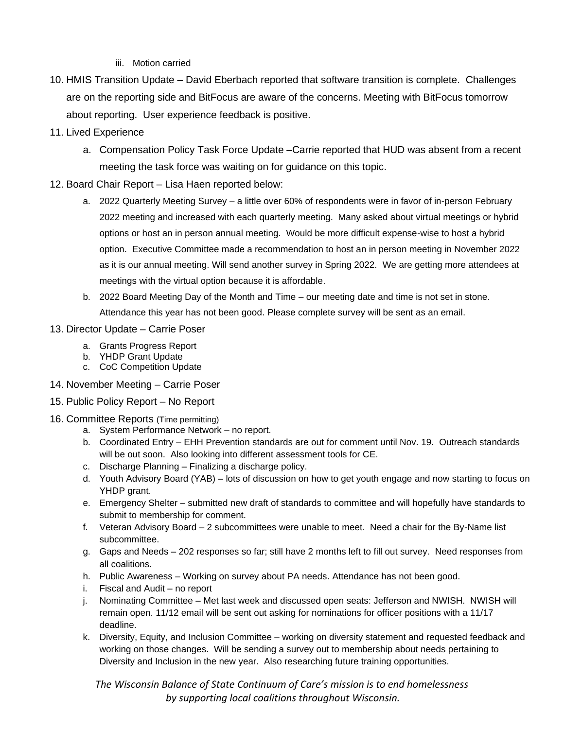iii. Motion carried

- 10. HMIS Transition Update David Eberbach reported that software transition is complete. Challenges are on the reporting side and BitFocus are aware of the concerns. Meeting with BitFocus tomorrow about reporting. User experience feedback is positive.
- 11. Lived Experience
	- a. Compensation Policy Task Force Update –Carrie reported that HUD was absent from a recent meeting the task force was waiting on for guidance on this topic.
- 12. Board Chair Report Lisa Haen reported below:
	- a. 2022 Quarterly Meeting Survey a little over 60% of respondents were in favor of in-person February 2022 meeting and increased with each quarterly meeting. Many asked about virtual meetings or hybrid options or host an in person annual meeting. Would be more difficult expense-wise to host a hybrid option. Executive Committee made a recommendation to host an in person meeting in November 2022 as it is our annual meeting. Will send another survey in Spring 2022. We are getting more attendees at meetings with the virtual option because it is affordable.
	- b. 2022 Board Meeting Day of the Month and Time our meeting date and time is not set in stone. Attendance this year has not been good. Please complete survey will be sent as an email.

## 13. Director Update – Carrie Poser

- a. Grants Progress Report
- b. YHDP Grant Update
- c. CoC Competition Update
- 14. November Meeting Carrie Poser
- 15. Public Policy Report No Report

## 16. Committee Reports (Time permitting)

- a. System Performance Network no report.
- b. Coordinated Entry EHH Prevention standards are out for comment until Nov. 19. Outreach standards will be out soon. Also looking into different assessment tools for CE.
- c. Discharge Planning Finalizing a discharge policy.
- d. Youth Advisory Board (YAB) lots of discussion on how to get youth engage and now starting to focus on YHDP grant.
- e. Emergency Shelter submitted new draft of standards to committee and will hopefully have standards to submit to membership for comment.
- f. Veteran Advisory Board 2 subcommittees were unable to meet. Need a chair for the By-Name list subcommittee.
- g. Gaps and Needs 202 responses so far; still have 2 months left to fill out survey. Need responses from all coalitions.
- h. Public Awareness Working on survey about PA needs. Attendance has not been good.
- i. Fiscal and Audit no report
- j. Nominating Committee Met last week and discussed open seats: Jefferson and NWISH. NWISH will remain open. 11/12 email will be sent out asking for nominations for officer positions with a 11/17 deadline.
- k. Diversity, Equity, and Inclusion Committee working on diversity statement and requested feedback and working on those changes. Will be sending a survey out to membership about needs pertaining to Diversity and Inclusion in the new year. Also researching future training opportunities.

## *The Wisconsin Balance of State Continuum of Care's mission is to end homelessness by supporting local coalitions throughout Wisconsin.*